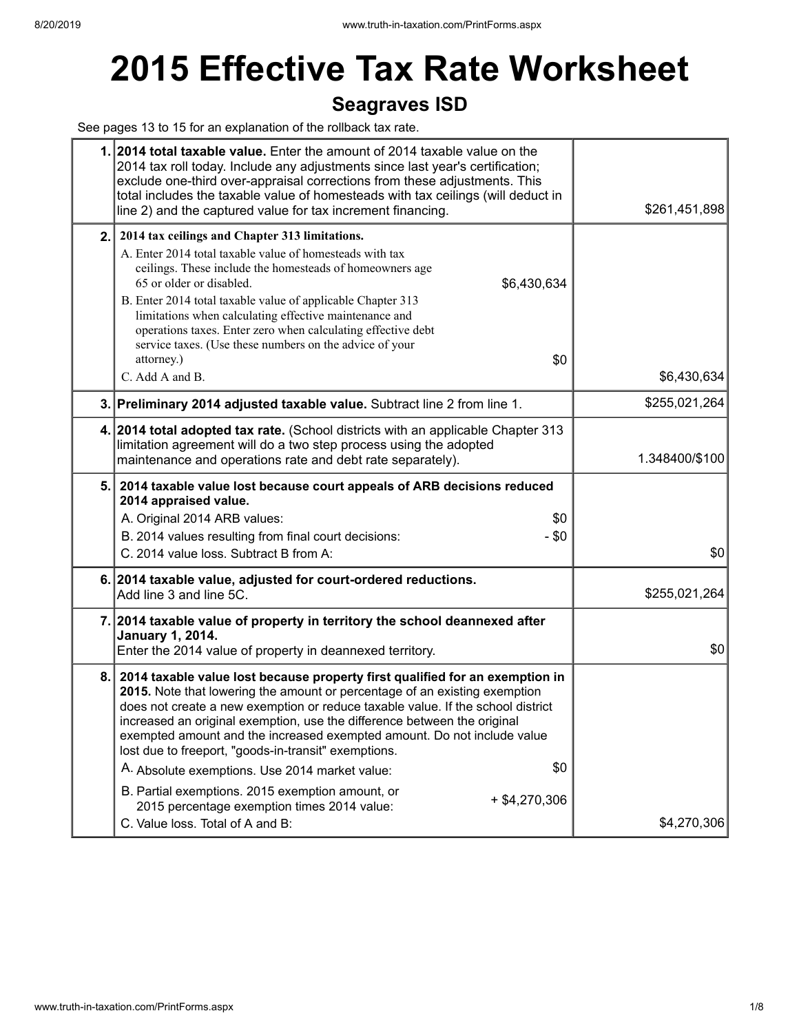# **2015 Effective Tax Rate Worksheet**

## **Seagraves ISD**

See pages 13 to 15 for an explanation of the rollback tax rate.

|     | 1. 2014 total taxable value. Enter the amount of 2014 taxable value on the<br>2014 tax roll today. Include any adjustments since last year's certification;<br>exclude one-third over-appraisal corrections from these adjustments. This<br>total includes the taxable value of homesteads with tax ceilings (will deduct in<br>line 2) and the captured value for tax increment financing.                                                                                                                                                                                                                                                 | \$261,451,898  |
|-----|---------------------------------------------------------------------------------------------------------------------------------------------------------------------------------------------------------------------------------------------------------------------------------------------------------------------------------------------------------------------------------------------------------------------------------------------------------------------------------------------------------------------------------------------------------------------------------------------------------------------------------------------|----------------|
| 2.1 | 2014 tax ceilings and Chapter 313 limitations.<br>A. Enter 2014 total taxable value of homesteads with tax<br>ceilings. These include the homesteads of homeowners age<br>65 or older or disabled.<br>\$6,430,634<br>B. Enter 2014 total taxable value of applicable Chapter 313<br>limitations when calculating effective maintenance and<br>operations taxes. Enter zero when calculating effective debt<br>service taxes. (Use these numbers on the advice of your<br>attorney.)<br>\$0<br>C. Add A and B.                                                                                                                               | \$6,430,634    |
|     | 3. Preliminary 2014 adjusted taxable value. Subtract line 2 from line 1.                                                                                                                                                                                                                                                                                                                                                                                                                                                                                                                                                                    | \$255,021,264  |
|     | 4. 2014 total adopted tax rate. (School districts with an applicable Chapter 313<br>limitation agreement will do a two step process using the adopted<br>maintenance and operations rate and debt rate separately).                                                                                                                                                                                                                                                                                                                                                                                                                         | 1.348400/\$100 |
| 5.  | 2014 taxable value lost because court appeals of ARB decisions reduced<br>2014 appraised value.<br>A. Original 2014 ARB values:<br>\$0<br>- \$0<br>B. 2014 values resulting from final court decisions:<br>C. 2014 value loss. Subtract B from A:                                                                                                                                                                                                                                                                                                                                                                                           | \$0            |
|     | 6. 2014 taxable value, adjusted for court-ordered reductions.<br>Add line 3 and line 5C.                                                                                                                                                                                                                                                                                                                                                                                                                                                                                                                                                    | \$255,021,264  |
|     | 7. 2014 taxable value of property in territory the school deannexed after<br><b>January 1, 2014.</b><br>Enter the 2014 value of property in deannexed territory.                                                                                                                                                                                                                                                                                                                                                                                                                                                                            | \$0            |
| 8.1 | 2014 taxable value lost because property first qualified for an exemption in<br>2015. Note that lowering the amount or percentage of an existing exemption<br>does not create a new exemption or reduce taxable value. If the school district<br>increased an original exemption, use the difference between the original<br>exempted amount and the increased exempted amount. Do not include value<br>lost due to freeport, "goods-in-transit" exemptions.<br>\$0<br>A. Absolute exemptions. Use 2014 market value:<br>B. Partial exemptions. 2015 exemption amount, or<br>$+$ \$4,270,306<br>2015 percentage exemption times 2014 value: | \$4,270,306    |
|     | C. Value loss. Total of A and B:                                                                                                                                                                                                                                                                                                                                                                                                                                                                                                                                                                                                            |                |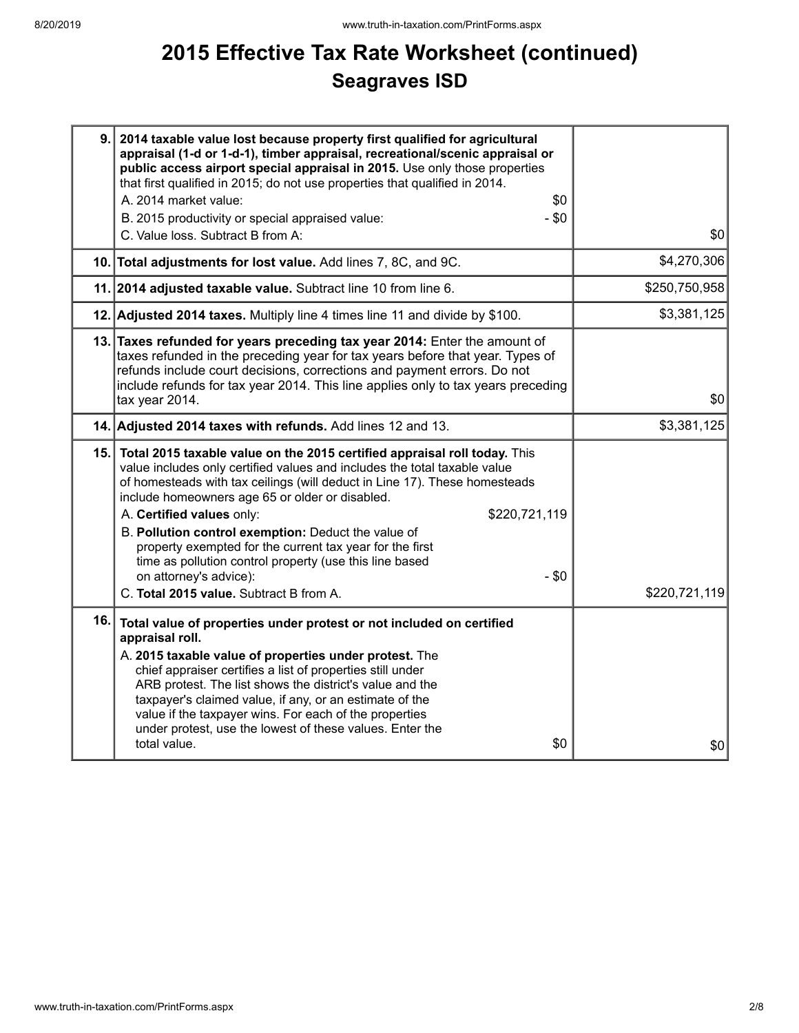# **2015 Effective Tax Rate Worksheet (continued) Seagraves ISD**

| 9.  | 2014 taxable value lost because property first qualified for agricultural<br>appraisal (1-d or 1-d-1), timber appraisal, recreational/scenic appraisal or<br>public access airport special appraisal in 2015. Use only those properties<br>that first qualified in 2015; do not use properties that qualified in 2014.<br>A. 2014 market value:<br>\$0<br>- \$0<br>B. 2015 productivity or special appraised value:                                                                                                                                                                                     |               |
|-----|---------------------------------------------------------------------------------------------------------------------------------------------------------------------------------------------------------------------------------------------------------------------------------------------------------------------------------------------------------------------------------------------------------------------------------------------------------------------------------------------------------------------------------------------------------------------------------------------------------|---------------|
|     | C. Value loss. Subtract B from A:                                                                                                                                                                                                                                                                                                                                                                                                                                                                                                                                                                       | \$0           |
|     | 10. Total adjustments for lost value. Add lines 7, 8C, and 9C.                                                                                                                                                                                                                                                                                                                                                                                                                                                                                                                                          | \$4,270,306   |
|     | 11. 2014 adjusted taxable value. Subtract line 10 from line 6.                                                                                                                                                                                                                                                                                                                                                                                                                                                                                                                                          | \$250,750,958 |
|     | 12. Adjusted 2014 taxes. Multiply line 4 times line 11 and divide by \$100.                                                                                                                                                                                                                                                                                                                                                                                                                                                                                                                             | \$3,381,125   |
|     | 13. Taxes refunded for years preceding tax year 2014: Enter the amount of<br>taxes refunded in the preceding year for tax years before that year. Types of<br>refunds include court decisions, corrections and payment errors. Do not<br>include refunds for tax year 2014. This line applies only to tax years preceding<br>tax year 2014.                                                                                                                                                                                                                                                             | \$0           |
|     | 14. Adjusted 2014 taxes with refunds. Add lines 12 and 13.                                                                                                                                                                                                                                                                                                                                                                                                                                                                                                                                              | \$3,381,125   |
|     | 15. Total 2015 taxable value on the 2015 certified appraisal roll today. This<br>value includes only certified values and includes the total taxable value<br>of homesteads with tax ceilings (will deduct in Line 17). These homesteads<br>include homeowners age 65 or older or disabled.<br>A. Certified values only:<br>\$220,721,119<br>B. Pollution control exemption: Deduct the value of<br>property exempted for the current tax year for the first<br>time as pollution control property (use this line based<br>on attorney's advice):<br>$-$ \$0<br>C. Total 2015 value. Subtract B from A. | \$220,721,119 |
| 16. | Total value of properties under protest or not included on certified<br>appraisal roll.<br>A. 2015 taxable value of properties under protest. The<br>chief appraiser certifies a list of properties still under<br>ARB protest. The list shows the district's value and the<br>taxpayer's claimed value, if any, or an estimate of the<br>value if the taxpayer wins. For each of the properties<br>under protest, use the lowest of these values. Enter the<br>\$0<br>total value.                                                                                                                     | \$0           |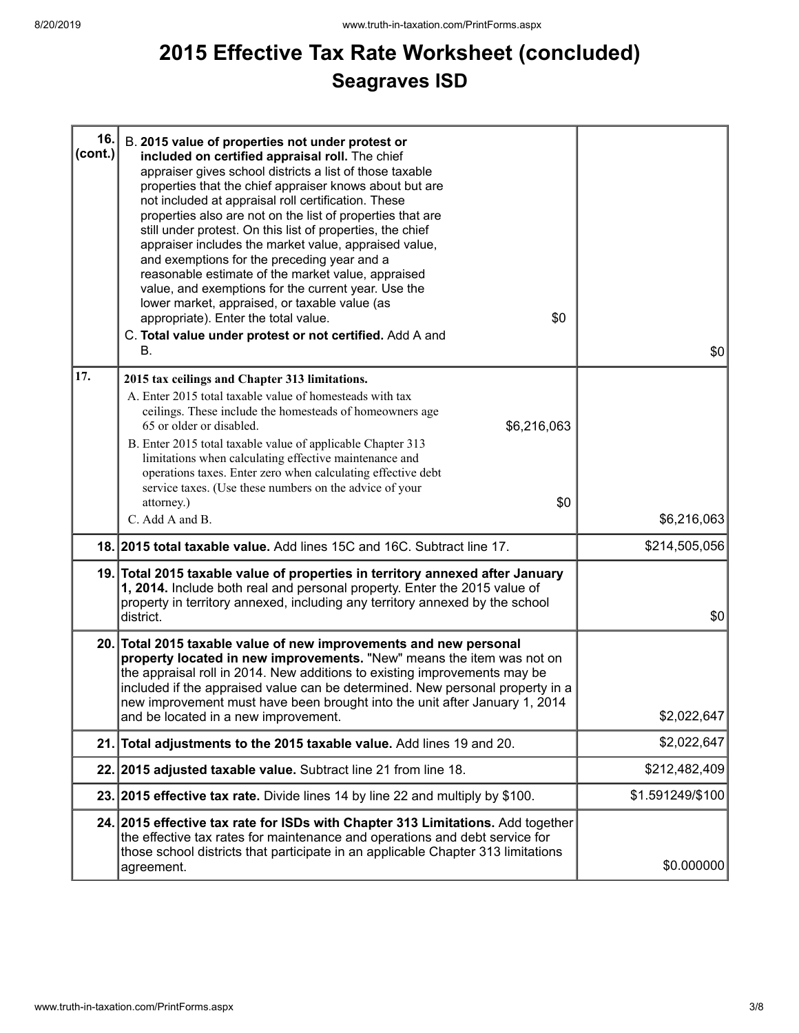# **2015 Effective Tax Rate Worksheet (concluded) Seagraves ISD**

| 16.<br>$ cont.$ ) | B. 2015 value of properties not under protest or<br>included on certified appraisal roll. The chief<br>appraiser gives school districts a list of those taxable<br>properties that the chief appraiser knows about but are<br>not included at appraisal roll certification. These<br>properties also are not on the list of properties that are<br>still under protest. On this list of properties, the chief<br>appraiser includes the market value, appraised value,<br>and exemptions for the preceding year and a<br>reasonable estimate of the market value, appraised<br>value, and exemptions for the current year. Use the<br>lower market, appraised, or taxable value (as<br>\$0<br>appropriate). Enter the total value.<br>C. Total value under protest or not certified. Add A and<br>В. | \$0              |
|-------------------|------------------------------------------------------------------------------------------------------------------------------------------------------------------------------------------------------------------------------------------------------------------------------------------------------------------------------------------------------------------------------------------------------------------------------------------------------------------------------------------------------------------------------------------------------------------------------------------------------------------------------------------------------------------------------------------------------------------------------------------------------------------------------------------------------|------------------|
| 17.               | 2015 tax ceilings and Chapter 313 limitations.                                                                                                                                                                                                                                                                                                                                                                                                                                                                                                                                                                                                                                                                                                                                                       |                  |
|                   | A. Enter 2015 total taxable value of homesteads with tax<br>ceilings. These include the homesteads of homeowners age<br>65 or older or disabled.<br>\$6,216,063<br>B. Enter 2015 total taxable value of applicable Chapter 313<br>limitations when calculating effective maintenance and                                                                                                                                                                                                                                                                                                                                                                                                                                                                                                             |                  |
|                   | operations taxes. Enter zero when calculating effective debt<br>service taxes. (Use these numbers on the advice of your                                                                                                                                                                                                                                                                                                                                                                                                                                                                                                                                                                                                                                                                              |                  |
|                   | attorney.)<br>\$0<br>C. Add A and B.                                                                                                                                                                                                                                                                                                                                                                                                                                                                                                                                                                                                                                                                                                                                                                 | \$6,216,063      |
|                   |                                                                                                                                                                                                                                                                                                                                                                                                                                                                                                                                                                                                                                                                                                                                                                                                      |                  |
|                   | 18. 2015 total taxable value. Add lines 15C and 16C. Subtract line 17.                                                                                                                                                                                                                                                                                                                                                                                                                                                                                                                                                                                                                                                                                                                               | \$214,505,056    |
|                   | 19. Total 2015 taxable value of properties in territory annexed after January<br>1, 2014. Include both real and personal property. Enter the 2015 value of<br>property in territory annexed, including any territory annexed by the school<br>district.                                                                                                                                                                                                                                                                                                                                                                                                                                                                                                                                              | \$0              |
|                   | 20. Total 2015 taxable value of new improvements and new personal<br>property located in new improvements. "New" means the item was not on<br>the appraisal roll in 2014. New additions to existing improvements may be<br>included if the appraised value can be determined. New personal property in a<br>new improvement must have been brought into the unit after January 1, 2014<br>and be located in a new improvement.                                                                                                                                                                                                                                                                                                                                                                       | \$2,022,647      |
|                   | 21. Total adjustments to the 2015 taxable value. Add lines 19 and 20.                                                                                                                                                                                                                                                                                                                                                                                                                                                                                                                                                                                                                                                                                                                                | \$2,022,647      |
|                   | 22. 2015 adjusted taxable value. Subtract line 21 from line 18.                                                                                                                                                                                                                                                                                                                                                                                                                                                                                                                                                                                                                                                                                                                                      | \$212,482,409    |
|                   | 23. 2015 effective tax rate. Divide lines 14 by line 22 and multiply by \$100.                                                                                                                                                                                                                                                                                                                                                                                                                                                                                                                                                                                                                                                                                                                       | \$1.591249/\$100 |
|                   | 24. 2015 effective tax rate for ISDs with Chapter 313 Limitations. Add together<br>the effective tax rates for maintenance and operations and debt service for<br>those school districts that participate in an applicable Chapter 313 limitations<br>agreement.                                                                                                                                                                                                                                                                                                                                                                                                                                                                                                                                     | \$0.000000       |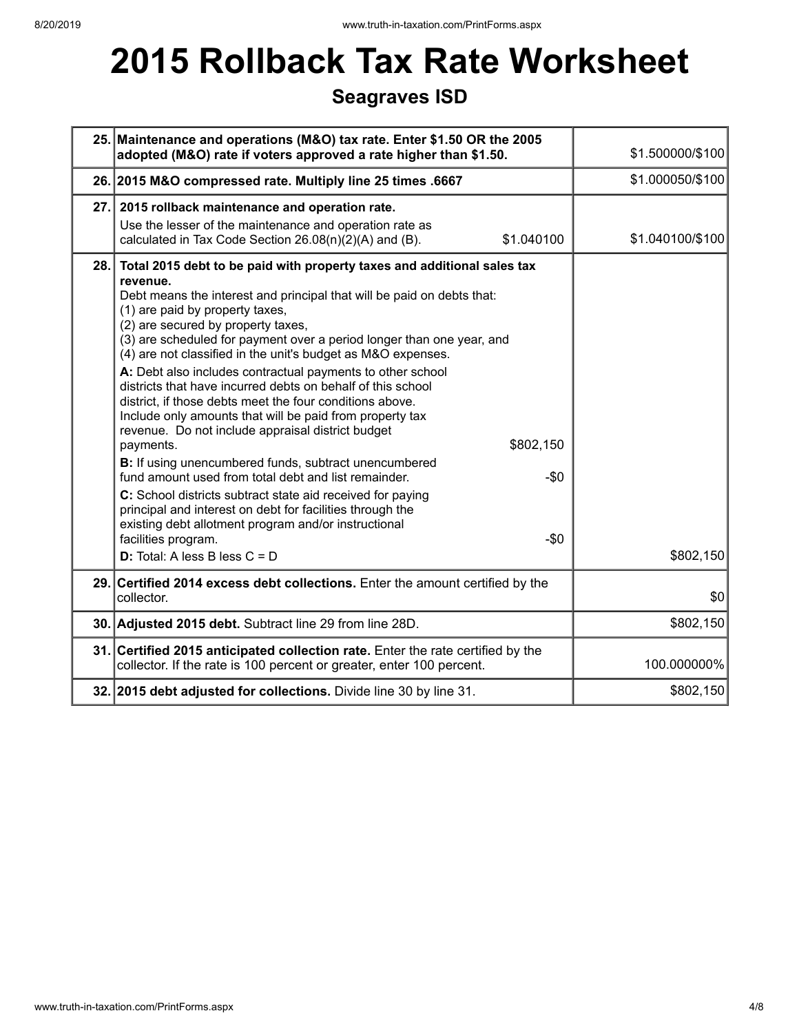# **2015 Rollback Tax Rate Worksheet**

## **Seagraves ISD**

| 25. Maintenance and operations (M&O) tax rate. Enter \$1.50 OR the 2005<br>adopted (M&O) rate if voters approved a rate higher than \$1.50.                                                                                                                                                                                                                                                                                                                                                                                                                                                                                                                                                                                                                                                                                                                                                                                                                                                                                                                                                                     | \$1.500000/\$100 |
|-----------------------------------------------------------------------------------------------------------------------------------------------------------------------------------------------------------------------------------------------------------------------------------------------------------------------------------------------------------------------------------------------------------------------------------------------------------------------------------------------------------------------------------------------------------------------------------------------------------------------------------------------------------------------------------------------------------------------------------------------------------------------------------------------------------------------------------------------------------------------------------------------------------------------------------------------------------------------------------------------------------------------------------------------------------------------------------------------------------------|------------------|
| 26. 2015 M&O compressed rate. Multiply line 25 times .6667                                                                                                                                                                                                                                                                                                                                                                                                                                                                                                                                                                                                                                                                                                                                                                                                                                                                                                                                                                                                                                                      | \$1.000050/\$100 |
| 27. 2015 rollback maintenance and operation rate.<br>Use the lesser of the maintenance and operation rate as<br>calculated in Tax Code Section 26.08(n)(2)(A) and (B).<br>\$1.040100                                                                                                                                                                                                                                                                                                                                                                                                                                                                                                                                                                                                                                                                                                                                                                                                                                                                                                                            | \$1.040100/\$100 |
| 28. Total 2015 debt to be paid with property taxes and additional sales tax<br>revenue.<br>Debt means the interest and principal that will be paid on debts that:<br>(1) are paid by property taxes,<br>(2) are secured by property taxes,<br>(3) are scheduled for payment over a period longer than one year, and<br>(4) are not classified in the unit's budget as M&O expenses.<br>A: Debt also includes contractual payments to other school<br>districts that have incurred debts on behalf of this school<br>district, if those debts meet the four conditions above.<br>Include only amounts that will be paid from property tax<br>revenue. Do not include appraisal district budget<br>\$802,150<br>payments.<br>B: If using unencumbered funds, subtract unencumbered<br>fund amount used from total debt and list remainder.<br>$-50$<br>C: School districts subtract state aid received for paying<br>principal and interest on debt for facilities through the<br>existing debt allotment program and/or instructional<br>$-\$0$<br>facilities program.<br><b>D:</b> Total: A less B less $C = D$ | \$802,150        |
| 29. Certified 2014 excess debt collections. Enter the amount certified by the<br>collector.                                                                                                                                                                                                                                                                                                                                                                                                                                                                                                                                                                                                                                                                                                                                                                                                                                                                                                                                                                                                                     | \$0              |
| 30. Adjusted 2015 debt. Subtract line 29 from line 28D.                                                                                                                                                                                                                                                                                                                                                                                                                                                                                                                                                                                                                                                                                                                                                                                                                                                                                                                                                                                                                                                         | \$802,150        |
| 31. Certified 2015 anticipated collection rate. Enter the rate certified by the<br>collector. If the rate is 100 percent or greater, enter 100 percent.                                                                                                                                                                                                                                                                                                                                                                                                                                                                                                                                                                                                                                                                                                                                                                                                                                                                                                                                                         | 100.000000%      |
| 32. 2015 debt adjusted for collections. Divide line 30 by line 31.                                                                                                                                                                                                                                                                                                                                                                                                                                                                                                                                                                                                                                                                                                                                                                                                                                                                                                                                                                                                                                              | \$802,150        |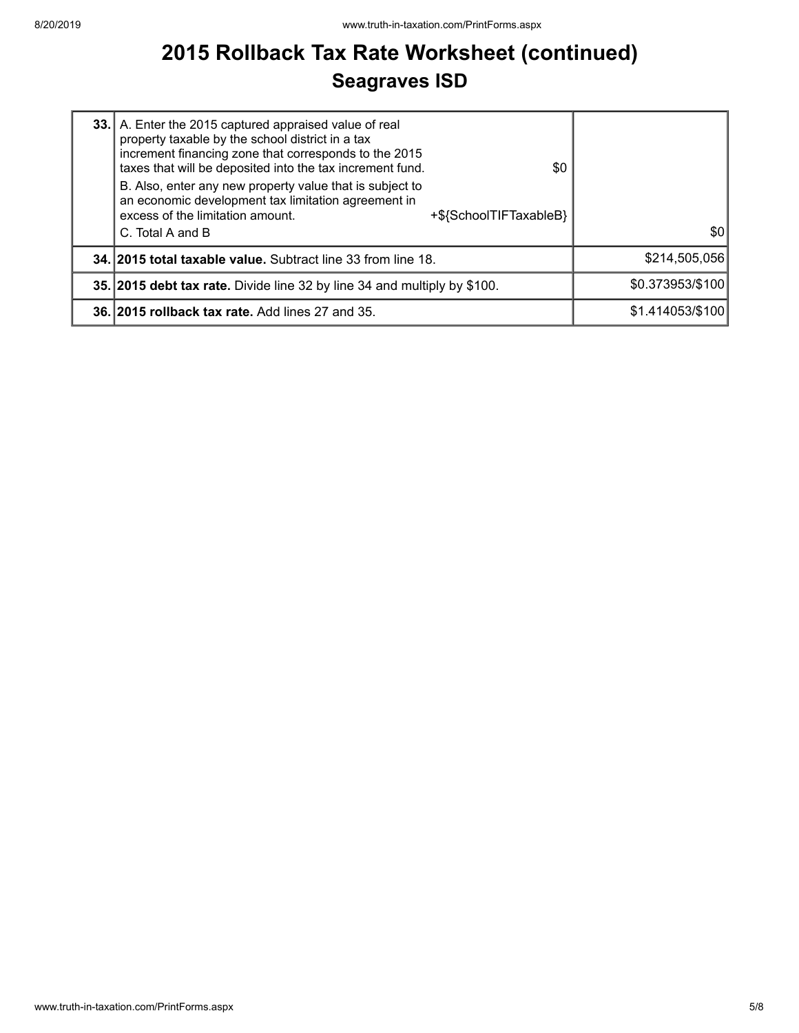# **2015 Rollback Tax Rate Worksheet (continued) Seagraves ISD**

| 33. A. Enter the 2015 captured appraised value of real<br>property taxable by the school district in a tax<br>increment financing zone that corresponds to the 2015<br>taxes that will be deposited into the tax increment fund.<br>\$0<br>B. Also, enter any new property value that is subject to<br>an economic development tax limitation agreement in<br>excess of the limitation amount.<br>+\${SchoolTIFTaxableB}<br>C. Total A and B | 30               |
|----------------------------------------------------------------------------------------------------------------------------------------------------------------------------------------------------------------------------------------------------------------------------------------------------------------------------------------------------------------------------------------------------------------------------------------------|------------------|
| 34. 2015 total taxable value. Subtract line 33 from line 18.                                                                                                                                                                                                                                                                                                                                                                                 | \$214,505,056    |
| 35. 2015 debt tax rate. Divide line 32 by line 34 and multiply by \$100.                                                                                                                                                                                                                                                                                                                                                                     | \$0.373953/\$100 |
| 36. 2015 rollback tax rate. Add lines 27 and 35.                                                                                                                                                                                                                                                                                                                                                                                             | \$1.414053/\$100 |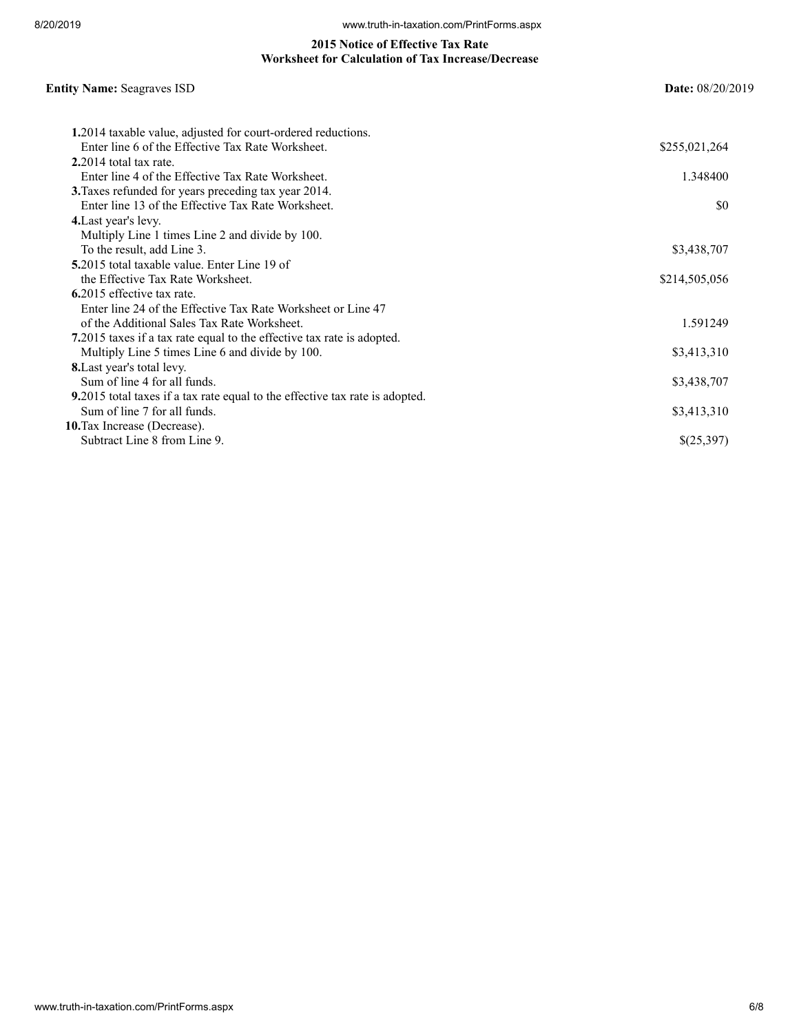#### **2015 Notice of Effective Tax Rate Worksheet for Calculation of Tax Increase/Decrease**

## **Entity Name:** Seagraves ISD **Date:** 08/20/2019 **1.**2014 taxable value, adjusted for court-ordered reductions. Enter line 6 of the Effective Tax Rate Worksheet. \$255,021,264 **2.**2014 total tax rate. Enter line 4 of the Effective Tax Rate Worksheet. 1.348400 **3.**Taxes refunded for years preceding tax year 2014. Enter line 13 of the Effective Tax Rate Worksheet.  $\$0$ **4.**Last year's levy. Multiply Line 1 times Line 2 and divide by 100. To the result, add Line 3. \$3,438,707 **5.**2015 total taxable value. Enter Line 19 of the Effective Tax Rate Worksheet.  $$214,505,056$ **6.**2015 effective tax rate. Enter line 24 of the Effective Tax Rate Worksheet or Line 47 of the Additional Sales Tax Rate Worksheet. 1.591249 **7.**2015 taxes if a tax rate equal to the effective tax rate is adopted. Multiply Line 5 times Line 6 and divide by 100. \$3,413,310 **8.**Last year's total levy. Sum of line 4 for all funds. \$3,438,707 **9.**2015 total taxes if a tax rate equal to the effective tax rate is adopted. Sum of line 7 for all funds. \$3,413,310 **10.**Tax Increase (Decrease). Subtract Line 8 from Line 9.  $\{(25,397)$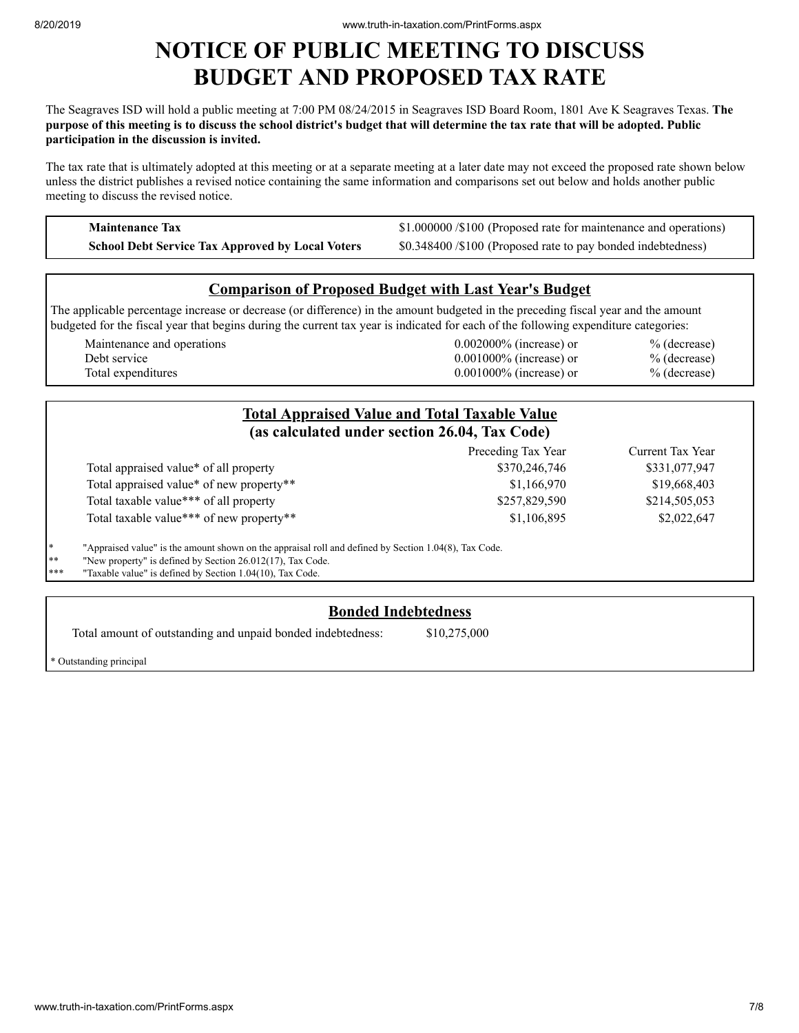## **NOTICE OF PUBLIC MEETING TO DISCUSS BUDGET AND PROPOSED TAX RATE**

The Seagraves ISD will hold a public meeting at 7:00 PM 08/24/2015 in Seagraves ISD Board Room, 1801 Ave K Seagraves Texas. **The** purpose of this meeting is to discuss the school district's budget that will determine the tax rate that will be adopted. Public **participation in the discussion is invited.**

The tax rate that is ultimately adopted at this meeting or at a separate meeting at a later date may not exceed the proposed rate shown below unless the district publishes a revised notice containing the same information and comparisons set out below and holds another public meeting to discuss the revised notice.

**Maintenance Tax \$1.000000 /\$100 (Proposed rate for maintenance and operations) School Debt Service Tax Approved by Local Voters** \$0.348400 /\$100 (Proposed rate to pay bonded indebtedness)

### **Comparison of Proposed Budget with Last Year's Budget**

The applicable percentage increase or decrease (or difference) in the amount budgeted in the preceding fiscal year and the amount budgeted for the fiscal year that begins during the current tax year is indicated for each of the following expenditure categories:

| Maintenance and operations | $0.002000\%$ (increase) or | $%$ (decrease) |
|----------------------------|----------------------------|----------------|
| Debt service               | $0.001000\%$ (increase) or | $%$ (decrease) |
| Total expenditures         | $0.001000\%$ (increase) or | $%$ (decrease) |

|     |                                                                                                       | <b>Total Appraised Value and Total Taxable Value</b><br>(as calculated under section 26.04, Tax Code) |                  |
|-----|-------------------------------------------------------------------------------------------------------|-------------------------------------------------------------------------------------------------------|------------------|
|     |                                                                                                       | Preceding Tax Year                                                                                    | Current Tax Year |
|     | Total appraised value <sup>*</sup> of all property                                                    | \$370,246,746                                                                                         | \$331,077,947    |
|     | Total appraised value* of new property**                                                              | \$1,166,970                                                                                           | \$19,668,403     |
|     | Total taxable value*** of all property                                                                | \$257,829,590                                                                                         | \$214,505,053    |
|     | Total taxable value*** of new property**                                                              | \$1,106,895                                                                                           | \$2,022,647      |
| ∗   | "Appraised value" is the amount shown on the appraisal roll and defined by Section 1.04(8), Tax Code. |                                                                                                       |                  |
| **  | "New property" is defined by Section 26.012(17), Tax Code.                                            |                                                                                                       |                  |
| *** | "Taxable value" is defined by Section 1.04(10), Tax Code.                                             |                                                                                                       |                  |

### **Bonded Indebtedness**

Total amount of outstanding and unpaid bonded indebtedness: \$10,275,000

\* Outstanding principal